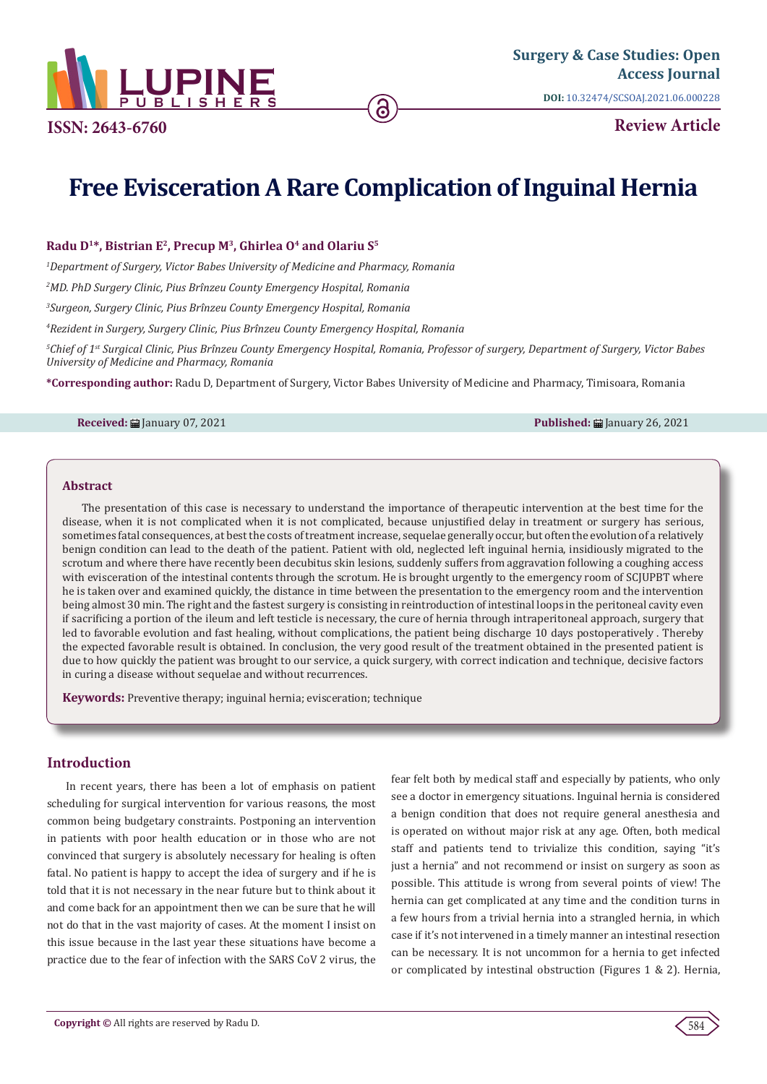

**Review Article**

# **Free Evisceration A Rare Complication of Inguinal Hernia**

#### Radu D<sup>1\*</sup>, Bistrian E<sup>2</sup>, Precup M<sup>3</sup>, Ghirlea O<sup>4</sup> and Olariu S<sup>5</sup>

*1 Department of Surgery, Victor Babes University of Medicine and Pharmacy, Romania*

*2 MD. PhD Surgery Clinic, Pius Brînzeu County Emergency Hospital, Romania*

*3 Surgeon, Surgery Clinic, Pius Brînzeu County Emergency Hospital, Romania*

*4 Rezident in Surgery, Surgery Clinic, Pius Brînzeu County Emergency Hospital, Romania*

*5 Chief of 1st Surgical Clinic, Pius Brînzeu County Emergency Hospital, Romania, Professor of surgery, Department of Surgery, Victor Babes University of Medicine and Pharmacy, Romania*

**\*Corresponding author:** Radu D, Department of Surgery, Victor Babes University of Medicine and Pharmacy, Timisoara, Romania

**Received:** January 07, 2021 **Published:** January 26, 2021

#### **Abstract**

The presentation of this case is necessary to understand the importance of therapeutic intervention at the best time for the disease, when it is not complicated when it is not complicated, because unjustified delay in treatment or surgery has serious, sometimes fatal consequences, at best the costs of treatment increase, sequelae generally occur, but often the evolution of a relatively benign condition can lead to the death of the patient. Patient with old, neglected left inguinal hernia, insidiously migrated to the scrotum and where there have recently been decubitus skin lesions, suddenly suffers from aggravation following a coughing access with evisceration of the intestinal contents through the scrotum. He is brought urgently to the emergency room of SCJUPBT where he is taken over and examined quickly, the distance in time between the presentation to the emergency room and the intervention being almost 30 min. The right and the fastest surgery is consisting in reintroduction of intestinal loops in the peritoneal cavity even if sacrificing a portion of the ileum and left testicle is necessary, the cure of hernia through intraperitoneal approach, surgery that led to favorable evolution and fast healing, without complications, the patient being discharge 10 days postoperatively . Thereby the expected favorable result is obtained. In conclusion, the very good result of the treatment obtained in the presented patient is due to how quickly the patient was brought to our service, a quick surgery, with correct indication and technique, decisive factors in curing a disease without sequelae and without recurrences.

**Keywords:** Preventive therapy; inguinal hernia; evisceration; technique

# **Introduction**

In recent years, there has been a lot of emphasis on patient scheduling for surgical intervention for various reasons, the most common being budgetary constraints. Postponing an intervention in patients with poor health education or in those who are not convinced that surgery is absolutely necessary for healing is often fatal. No patient is happy to accept the idea of surgery and if he is told that it is not necessary in the near future but to think about it and come back for an appointment then we can be sure that he will not do that in the vast majority of cases. At the moment I insist on this issue because in the last year these situations have become a practice due to the fear of infection with the SARS CoV 2 virus, the fear felt both by medical staff and especially by patients, who only see a doctor in emergency situations. Inguinal hernia is considered a benign condition that does not require general anesthesia and is operated on without major risk at any age. Often, both medical staff and patients tend to trivialize this condition, saying "it's just a hernia" and not recommend or insist on surgery as soon as possible. This attitude is wrong from several points of view! The hernia can get complicated at any time and the condition turns in a few hours from a trivial hernia into a strangled hernia, in which case if it's not intervened in a timely manner an intestinal resection can be necessary. It is not uncommon for a hernia to get infected or complicated by intestinal obstruction (Figures 1 & 2). Hernia,

584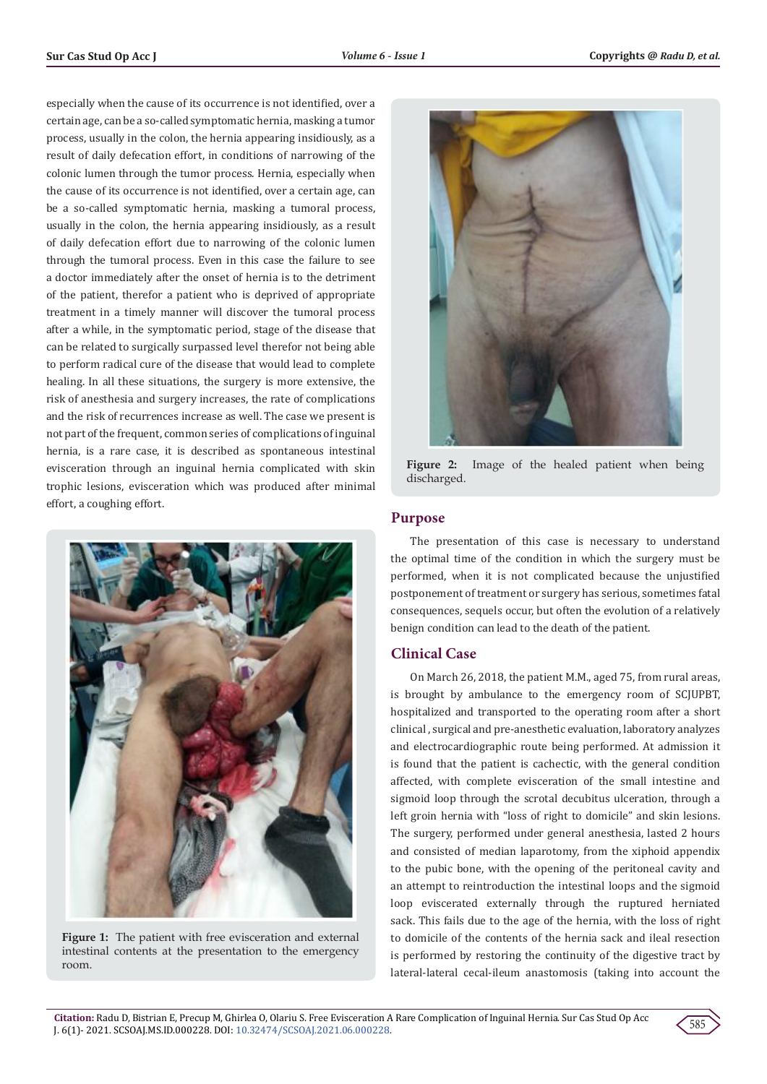especially when the cause of its occurrence is not identified, over a certain age, can be a so-called symptomatic hernia, masking a tumor process, usually in the colon, the hernia appearing insidiously, as a result of daily defecation effort, in conditions of narrowing of the colonic lumen through the tumor process. Hernia, especially when the cause of its occurrence is not identified, over a certain age, can be a so-called symptomatic hernia, masking a tumoral process, usually in the colon, the hernia appearing insidiously, as a result of daily defecation effort due to narrowing of the colonic lumen through the tumoral process. Even in this case the failure to see a doctor immediately after the onset of hernia is to the detriment of the patient, therefor a patient who is deprived of appropriate treatment in a timely manner will discover the tumoral process after a while, in the symptomatic period, stage of the disease that can be related to surgically surpassed level therefor not being able to perform radical cure of the disease that would lead to complete healing. In all these situations, the surgery is more extensive, the risk of anesthesia and surgery increases, the rate of complications and the risk of recurrences increase as well. The case we present is not part of the frequent, common series of complications of inguinal hernia, is a rare case, it is described as spontaneous intestinal evisceration through an inguinal hernia complicated with skin trophic lesions, evisceration which was produced after minimal effort, a coughing effort.



**Figure 1:** The patient with free evisceration and external intestinal contents at the presentation to the emergency room.



**Figure 2:** Image of the healed patient when being discharged.

## **Purpose**

The presentation of this case is necessary to understand the optimal time of the condition in which the surgery must be performed, when it is not complicated because the unjustified postponement of treatment or surgery has serious, sometimes fatal consequences, sequels occur, but often the evolution of a relatively benign condition can lead to the death of the patient.

### **Clinical Case**

On March 26, 2018, the patient M.M., aged 75, from rural areas, is brought by ambulance to the emergency room of SCJUPBT, hospitalized and transported to the operating room after a short clinical , surgical and pre-anesthetic evaluation, laboratory analyzes and electrocardiographic route being performed. At admission it is found that the patient is cachectic, with the general condition affected, with complete evisceration of the small intestine and sigmoid loop through the scrotal decubitus ulceration, through a left groin hernia with "loss of right to domicile" and skin lesions. The surgery, performed under general anesthesia, lasted 2 hours and consisted of median laparotomy, from the xiphoid appendix to the pubic bone, with the opening of the peritoneal cavity and an attempt to reintroduction the intestinal loops and the sigmoid loop eviscerated externally through the ruptured herniated sack. This fails due to the age of the hernia, with the loss of right to domicile of the contents of the hernia sack and ileal resection is performed by restoring the continuity of the digestive tract by lateral-lateral cecal-ileum anastomosis (taking into account the

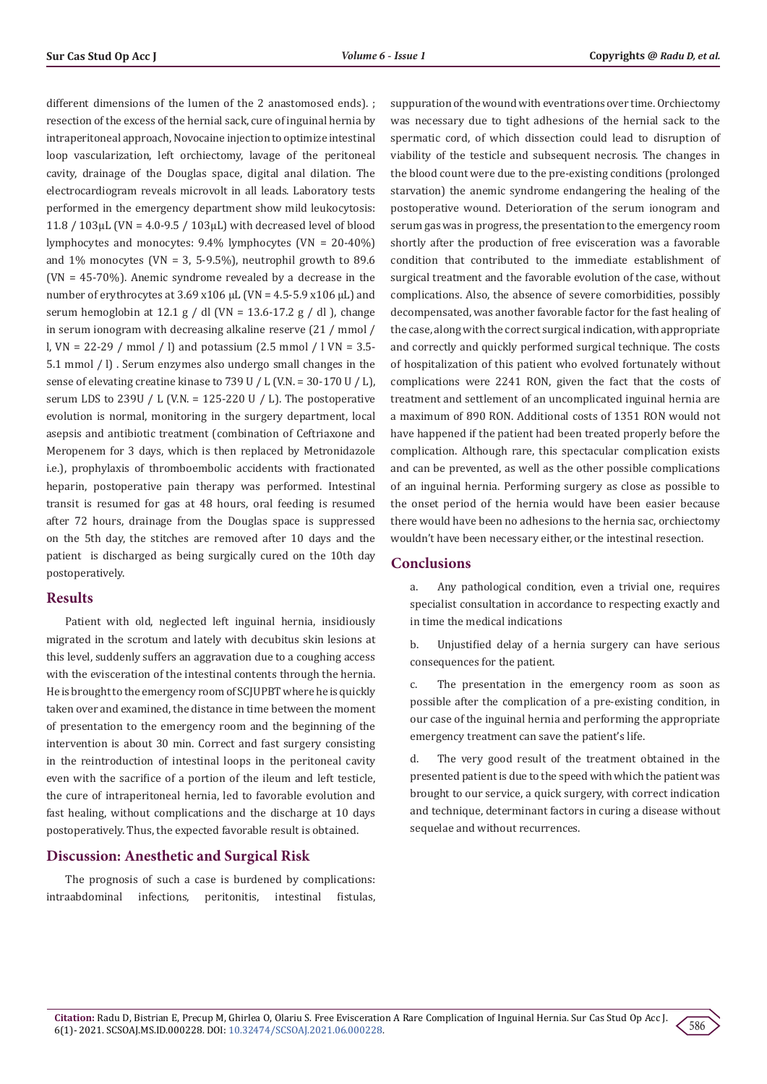different dimensions of the lumen of the 2 anastomosed ends). ; resection of the excess of the hernial sack, cure of inguinal hernia by intraperitoneal approach, Novocaine injection to optimize intestinal loop vascularization, left orchiectomy, lavage of the peritoneal cavity, drainage of the Douglas space, digital anal dilation. The electrocardiogram reveals microvolt in all leads. Laboratory tests performed in the emergency department show mild leukocytosis: 11.8 / 103µL (VN = 4.0-9.5 / 103µL) with decreased level of blood lymphocytes and monocytes: 9.4% lymphocytes (VN = 20-40%) and  $1\%$  monocytes (VN = 3, 5-9.5%), neutrophil growth to 89.6 (VN = 45-70%). Anemic syndrome revealed by a decrease in the number of erythrocytes at  $3.69$  x $106$   $\mu$ L (VN = 4.5-5.9 x $106$   $\mu$ L) and serum hemoglobin at 12.1 g / dl (VN = 13.6-17.2 g / dl ), change in serum ionogram with decreasing alkaline reserve (21 / mmol / l, VN = 22-29 / mmol / l) and potassium (2.5 mmol / l VN = 3.5- 5.1 mmol / l) . Serum enzymes also undergo small changes in the sense of elevating creatine kinase to 739 U / L (V.N. = 30-170 U / L), serum LDS to 239U / L (V.N. = 125-220 U / L). The postoperative evolution is normal, monitoring in the surgery department, local asepsis and antibiotic treatment (combination of Ceftriaxone and Meropenem for 3 days, which is then replaced by Metronidazole i.e.), prophylaxis of thromboembolic accidents with fractionated heparin, postoperative pain therapy was performed. Intestinal transit is resumed for gas at 48 hours, oral feeding is resumed after 72 hours, drainage from the Douglas space is suppressed on the 5th day, the stitches are removed after 10 days and the patient is discharged as being surgically cured on the 10th day postoperatively.

#### **Results**

Patient with old, neglected left inguinal hernia, insidiously migrated in the scrotum and lately with decubitus skin lesions at this level, suddenly suffers an aggravation due to a coughing access with the evisceration of the intestinal contents through the hernia. He is brought to the emergency room of SCJUPBT where he is quickly taken over and examined, the distance in time between the moment of presentation to the emergency room and the beginning of the intervention is about 30 min. Correct and fast surgery consisting in the reintroduction of intestinal loops in the peritoneal cavity even with the sacrifice of a portion of the ileum and left testicle, the cure of intraperitoneal hernia, led to favorable evolution and fast healing, without complications and the discharge at 10 days postoperatively. Thus, the expected favorable result is obtained.

#### **Discussion: Anesthetic and Surgical Risk**

The prognosis of such a case is burdened by complications: intraabdominal infections, peritonitis, intestinal fistulas, suppuration of the wound with eventrations over time. Orchiectomy was necessary due to tight adhesions of the hernial sack to the spermatic cord, of which dissection could lead to disruption of viability of the testicle and subsequent necrosis. The changes in the blood count were due to the pre-existing conditions (prolonged starvation) the anemic syndrome endangering the healing of the postoperative wound. Deterioration of the serum ionogram and serum gas was in progress, the presentation to the emergency room shortly after the production of free evisceration was a favorable condition that contributed to the immediate establishment of surgical treatment and the favorable evolution of the case, without complications. Also, the absence of severe comorbidities, possibly decompensated, was another favorable factor for the fast healing of the case, along with the correct surgical indication, with appropriate and correctly and quickly performed surgical technique. The costs of hospitalization of this patient who evolved fortunately without complications were 2241 RON, given the fact that the costs of treatment and settlement of an uncomplicated inguinal hernia are a maximum of 890 RON. Additional costs of 1351 RON would not have happened if the patient had been treated properly before the complication. Although rare, this spectacular complication exists and can be prevented, as well as the other possible complications of an inguinal hernia. Performing surgery as close as possible to the onset period of the hernia would have been easier because there would have been no adhesions to the hernia sac, orchiectomy wouldn't have been necessary either, or the intestinal resection.

#### **Conclusions**

a. Any pathological condition, even a trivial one, requires specialist consultation in accordance to respecting exactly and in time the medical indications

b. Unjustified delay of a hernia surgery can have serious consequences for the patient.

c. The presentation in the emergency room as soon as possible after the complication of a pre-existing condition, in our case of the inguinal hernia and performing the appropriate emergency treatment can save the patient's life.

d. The very good result of the treatment obtained in the presented patient is due to the speed with which the patient was brought to our service, a quick surgery, with correct indication and technique, determinant factors in curing a disease without sequelae and without recurrences.